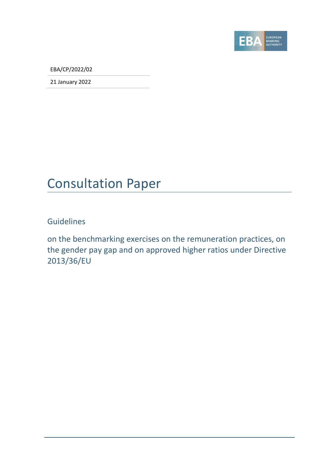

EBA/CP/2022/02

21 January 2022

## Consultation Paper

Guidelines

on the benchmarking exercises on the remuneration practices, on the gender pay gap and on approved higher ratios under Directive 2013/36/EU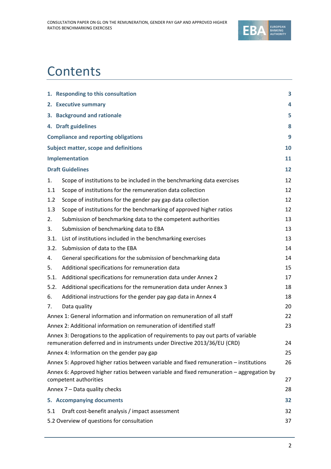

# **Contents**

|      | 1. Responding to this consultation                                                                                                   | 3         |
|------|--------------------------------------------------------------------------------------------------------------------------------------|-----------|
|      | 2. Executive summary                                                                                                                 | 4         |
|      | 3. Background and rationale                                                                                                          | 5         |
|      | 4. Draft guidelines                                                                                                                  | 8         |
|      | <b>Compliance and reporting obligations</b>                                                                                          | 9         |
|      | <b>Subject matter, scope and definitions</b>                                                                                         | <b>10</b> |
|      | Implementation                                                                                                                       | 11        |
|      | <b>Draft Guidelines</b>                                                                                                              | 12        |
| 1.   | Scope of institutions to be included in the benchmarking data exercises                                                              | 12        |
| 1.1  | Scope of institutions for the remuneration data collection                                                                           | 12        |
| 1.2  | Scope of institutions for the gender pay gap data collection                                                                         | 12        |
| 1.3  | Scope of institutions for the benchmarking of approved higher ratios                                                                 | 12        |
| 2.   | Submission of benchmarking data to the competent authorities                                                                         | 13        |
| 3.   | Submission of benchmarking data to EBA                                                                                               | 13        |
| 3.1. | List of institutions included in the benchmarking exercises                                                                          | 13        |
| 3.2. | Submission of data to the EBA                                                                                                        | 14        |
| 4.   | General specifications for the submission of benchmarking data                                                                       | 14        |
| 5.   | Additional specifications for remuneration data                                                                                      | 15        |
| 5.1. | Additional specifications for remuneration data under Annex 2                                                                        | 17        |
| 5.2. | Additional specifications for the remuneration data under Annex 3                                                                    | 18        |
| 6.   | Additional instructions for the gender pay gap data in Annex 4                                                                       | 18        |
| 7.   | Data quality                                                                                                                         | 20        |
|      | Annex 1: General information and information on remuneration of all staff                                                            | 22        |
|      | Annex 2: Additional information on remuneration of identified staff                                                                  | 23        |
|      | Annex 3: Derogations to the application of requirements to pay out parts of variable                                                 |           |
|      | remuneration deferred and in instruments under Directive 2013/36/EU (CRD)                                                            | 24        |
|      | Annex 4: Information on the gender pay gap<br>Annex 5: Approved higher ratios between variable and fixed remuneration – institutions | 25<br>26  |
|      | Annex 6: Approved higher ratios between variable and fixed remuneration - aggregation by                                             |           |
|      | competent authorities                                                                                                                | 27        |
|      | Annex 7 - Data quality checks                                                                                                        | 28        |
|      | 5. Accompanying documents                                                                                                            | 32        |
| 5.1  | Draft cost-benefit analysis / impact assessment                                                                                      | 32        |
|      | 5.2 Overview of questions for consultation                                                                                           | 37        |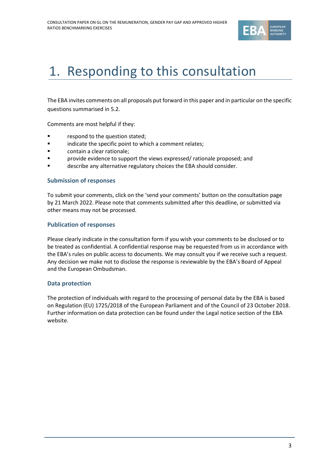

# 1. Responding to this consultation

The EBA invites comments on all proposals put forward in this paper and in particular on the specific questions summarised in 5.2.

Comments are most helpful if they:

- respond to the question stated;
- **•** indicate the specific point to which a comment relates;
- contain a clear rationale;
- **Provide evidence to support the views expressed/ rationale proposed; and**
- describe any alternative regulatory choices the EBA should consider.

#### **Submission of responses**

To submit your comments, click on the 'send your comments' button on the consultation page by 21 March 2022. Please note that comments submitted after this deadline, or submitted via other means may not be processed.

#### **Publication of responses**

Please clearly indicate in the consultation form if you wish your comments to be disclosed or to be treated as confidential. A confidential response may be requested from us in accordance with the EBA's rules on public access to documents. We may consult you if we receive such a request. Any decision we make not to disclose the response is reviewable by the EBA's Board of Appeal and the European Ombudsman.

#### **Data protection**

The protection of individuals with regard to the processing of personal data by the EBA is based on Regulation (EU) 1725/2018 of the European Parliament and of the Council of 23 October 2018. Further information on data protection can be found under the [Legal notice section](http://eba.europa.eu/legal-notice) of the EBA website.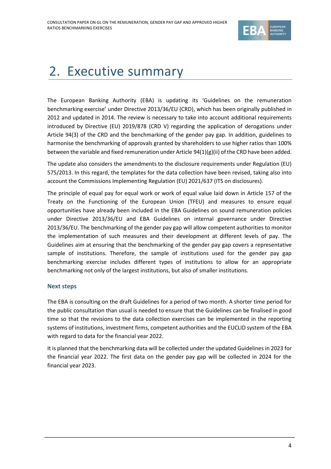

# 2. Executive summary

The European Banking Authority (EBA) is updating its 'Guidelines on the remuneration benchmarking exercise' under Directive 2013/36/EU (CRD), which has been originally published in 2012 and updated in 2014. The review is necessary to take into account additional requirements introduced by Directive (EU) 2019/878 (CRD V) regarding the application of derogations under Article 94(3) of the CRD and the benchmarking of the gender pay gap. In addition, guidelines to harmonise the benchmarking of approvals granted by shareholders to use higher ratios than 100% between the variable and fixed remuneration under Article  $94(1)(g)(ii)$  of the CRD have been added.

The update also considers the amendments to the disclosure requirements under Regulation (EU) 575/2013. In this regard, the templates for the data collection have been revised, taking also into account the Commissions Implementing Regulation (EU) 2021/637 (ITS on disclosures).

The principle of equal pay for equal work or work of equal value laid down in Article 157 of the Treaty on the Functioning of the European Union (TFEU) and measures to ensure equal opportunities have already been included in the EBA Guidelines on sound remuneration policies under Directive 2013/36/EU and EBA Guidelines on internal governance under Directive 2013/36/EU. The benchmarking of the gender pay gap will allow competent authorities to monitor the implementation of such measures and their development at different levels of pay. The Guidelines aim at ensuring that the benchmarking of the gender pay gap covers a representative sample of institutions. Therefore, the sample of institutions used for the gender pay gap benchmarking exercise includes different types of institutions to allow for an appropriate benchmarking not only of the largest institutions, but also of smaller institutions.

#### **Next steps**

The EBA is consulting on the draft Guidelines for a period of two month. A shorter time period for the public consultation than usual is needed to ensure that the Guidelines can be finalised in good time so that the revisions to the data collection exercises can be implemented in the reporting systems of institutions, investment firms, competent authorities and the EUCLID system of the EBA with regard to data for the financial year 2022.

It is planned that the benchmarking data will be collected under the updated Guidelines in 2023 for the financial year 2022. The first data on the gender pay gap will be collected in 2024 for the financial year 2023.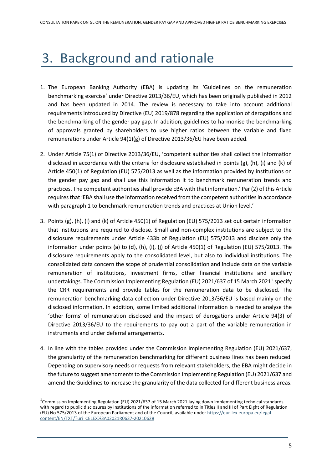# 3. Background and rationale

- 1. The European Banking Authority (EBA) is updating its 'Guidelines on the remuneration benchmarking exercise' under Directive 2013/36/EU, which has been originally published in 2012 and has been updated in 2014. The review is necessary to take into account additional requirements introduced by Directive (EU) 2019/878 regarding the application of derogations and the benchmarking of the gender pay gap. In addition, guidelines to harmonise the benchmarking of approvals granted by shareholders to use higher ratios between the variable and fixed remunerations under Article 94(1)(g) of Directive 2013/36/EU have been added.
- 2. Under Article 75(1) of Directive 2013/36/EU, 'competent authorities shall collect the information disclosed in accordance with the criteria for disclosure established in points (g), (h), (i) and (k) of Article 450(1) of Regulation (EU) 575/2013 as well as the information provided by institutions on the gender pay gap and shall use this information it to benchmark remuneration trends and practices. The competent authorities shall provide EBA with that information.' Par (2) of this Article requires that 'EBA shall use the information received from the competent authorities in accordance with paragraph 1 to benchmark remuneration trends and practices at Union level.'
- 3. Points (g), (h), (i) and (k) of Article 450(1) of Regulation (EU) 575/2013 set out certain information that institutions are required to disclose. Small and non-complex institutions are subject to the disclosure requirements under Article 433b of Regulation (EU) 575/2013 and disclose only the information under points (a) to (d), (h), (i), (j) of Article 450(1) of Regulation (EU) 575/2013. The disclosure requirements apply to the consolidated level, but also to individual institutions. The consolidated data concern the scope of prudential consolidation and include data on the variable remuneration of institutions, investment firms, other financial institutions and ancillary undertakings. The Commission Implementing Regulation (EU) 2021/637 of 15 March 2021<sup>1</sup> specify the CRR requirements and provide tables for the remuneration data to be disclosed. The remuneration benchmarking data collection under Directive 2013/36/EU is based mainly on the disclosed information. In addition, some limited additional information is needed to analyse the 'other forms' of remuneration disclosed and the impact of derogations under Article 94(3) of Directive 2013/36/EU to the requirements to pay out a part of the variable remuneration in instruments and under deferral arrangements.
- 4. In line with the tables provided under the Commission Implementing Regulation (EU) 2021/637, the granularity of the remuneration benchmarking for different business lines has been reduced. Depending on supervisory needs or requests from relevant stakeholders, the EBA might decide in the future to suggest amendments to the Commission Implementing Regulation (EU) 2021/637 and amend the Guidelines to increase the granularity of the data collected for different business areas.

<sup>&</sup>lt;sup>1</sup>Commission Implementing Regulation (EU) 2021/637 of 15 March 2021 laying down implementing technical standards with regard to public disclosures by institutions of the information referred to in Titles II and III of Part Eight of Regulation (EU) No 575/2013 of the European Parliament and of the Council, available under [https://eur-lex.europa.eu/legal](https://eur-lex.europa.eu/legal-content/EN/TXT/?uri=CELEX%3A02021R0637-20210628)[content/EN/TXT/?uri=CELEX%3A02021R0637-20210628](https://eur-lex.europa.eu/legal-content/EN/TXT/?uri=CELEX%3A02021R0637-20210628)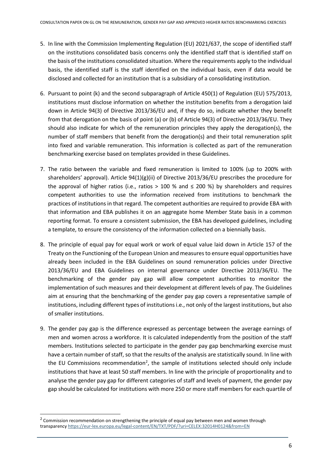- 5. In line with the Commission Implementing Regulation (EU) 2021/637, the scope of identified staff on the institutions consolidated basis concerns only the identified staff that is identified staff on the basis of the institutions consolidated situation. Where the requirements apply to the individual basis, the identified staff is the staff identified on the individual basis, even if data would be disclosed and collected for an institution that is a subsidiary of a consolidating institution.
- 6. Pursuant to point (k) and the second subparagraph of Article 450(1) of Regulation (EU) 575/2013, institutions must disclose information on whether the institution benefits from a derogation laid down in Article 94(3) of Directive 2013/36/EU and, if they do so, indicate whether they benefit from that derogation on the basis of point (a) or (b) of Article 94(3) of Directive 2013/36/EU. They should also indicate for which of the remuneration principles they apply the derogation(s), the number of staff members that benefit from the derogation(s) and their total remuneration split into fixed and variable remuneration. This information is collected as part of the remuneration benchmarking exercise based on templates provided in these Guidelines.
- 7. The ratio between the variable and fixed remuneration is limited to 100% (up to 200% with shareholders' approval). Article 94(1)(g)(ii) of Directive 2013/36/EU prescribes the procedure for the approval of higher ratios (i.e., ratios > 100 % and  $\leq$  200 %) by shareholders and requires competent authorities to use the information received from institutions to benchmark the practices of institutions in that regard. The competent authorities are required to provide EBA with that information and EBA publishes it on an aggregate home Member State basis in a common reporting format. To ensure a consistent submission, the EBA has developed guidelines, including a template, to ensure the consistency of the information collected on a biennially basis.
- 8. The principle of equal pay for equal work or work of equal value laid down in Article 157 of the Treaty on the Functioning of the European Union and measures to ensure equal opportunities have already been included in the EBA Guidelines on sound remuneration policies under Directive 2013/36/EU and EBA Guidelines on internal governance under Directive 2013/36/EU. The benchmarking of the gender pay gap will allow competent authorities to monitor the implementation of such measures and their development at different levels of pay. The Guidelines aim at ensuring that the benchmarking of the gender pay gap covers a representative sample of institutions, including different types of institutionsi.e., not only of the largest institutions, but also of smaller institutions.
- 9. The gender pay gap is the difference expressed as percentage between the average earnings of men and women across a workforce. It is calculated independently from the position of the staff members. Institutions selected to participate in the gender pay gap benchmarking exercise must have a certain number of staff, so that the results of the analysis are statistically sound. In line with the EU Commissions recommendation<sup>2</sup>, the sample of institutions selected should only include institutions that have at least 50 staff members. In line with the principle of proportionality and to analyse the gender pay gap for different categories of staff and levels of payment, the gender pay gap should be calculated for institutions with more 250 or more staff members for each quartile of

 $2$  Commission recommendation on strengthening the principle of equal pay between men and women through transparency<https://eur-lex.europa.eu/legal-content/EN/TXT/PDF/?uri=CELEX:32014H0124&from=EN>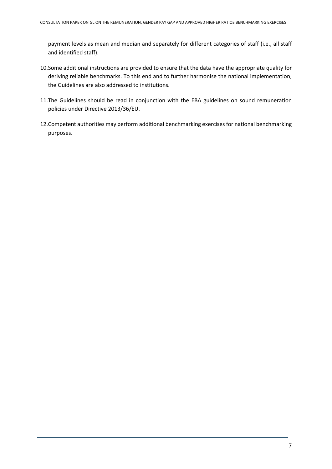payment levels as mean and median and separately for different categories of staff (i.e., all staff and identified staff).

- 10.Some additional instructions are provided to ensure that the data have the appropriate quality for deriving reliable benchmarks. To this end and to further harmonise the national implementation, the Guidelines are also addressed to institutions.
- 11.The Guidelines should be read in conjunction with the EBA guidelines on sound remuneration policies under Directive 2013/36/EU.
- 12.Competent authorities may perform additional benchmarking exercises for national benchmarking purposes.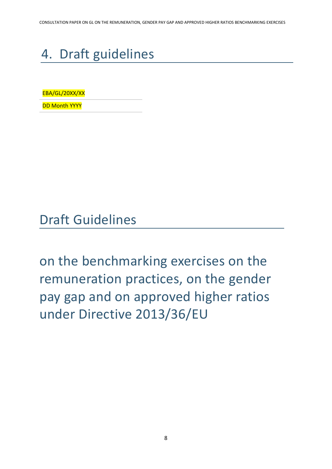# 4. Draft guidelines

EBA/GL/20XX/XX

DD Month YYYY

Draft Guidelines

on the benchmarking exercises on the remuneration practices, on the gender pay gap and on approved higher ratios under Directive 2013/36/EU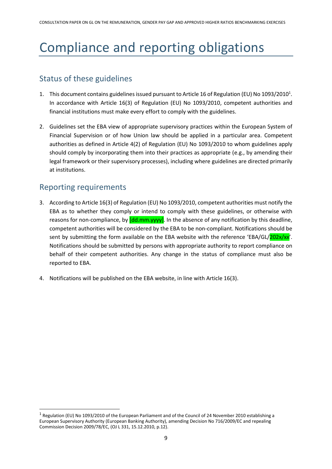# Compliance and reporting obligations

## Status of these guidelines

- 1. This document contains guidelines issued pursuant to Article 16 of Regulation (EU) No 1093/2010<sup>1</sup>. In accordance with Article 16(3) of Regulation (EU) No 1093/2010, competent authorities and financial institutions must make every effort to comply with the guidelines.
- 2. Guidelines set the EBA view of appropriate supervisory practices within the European System of Financial Supervision or of how Union law should be applied in a particular area. Competent authorities as defined in Article 4(2) of Regulation (EU) No 1093/2010 to whom guidelines apply should comply by incorporating them into their practices as appropriate (e.g., by amending their legal framework or their supervisory processes), including where guidelines are directed primarily at institutions.

### Reporting requirements

- 3. According to Article 16(3) of Regulation (EU) No 1093/2010, competent authorities must notify the EBA as to whether they comply or intend to comply with these guidelines, or otherwise with reasons for non-compliance, by  $\left[\frac{dd \,mm}{v} \right]$ . In the absence of any notification by this deadline, competent authorities will be considered by the EBA to be non-compliant. Notifications should be sent by submitting the form available on the EBA website with the reference 'EBA/GL/202x/xx'. Notifications should be submitted by persons with appropriate authority to report compliance on behalf of their competent authorities. Any change in the status of compliance must also be reported to EBA.
- 4. Notifications will be published on the EBA website, in line with Article 16(3).

<sup>&</sup>lt;sup>1</sup> Regulation (EU) No 1093/2010 of the European Parliament and of the Council of 24 November 2010 establishing a European Supervisory Authority (European Banking Authority), amending Decision No 716/2009/EC and repealing Commission Decision 2009/78/EC, (OJ L 331, 15.12.2010, p.12).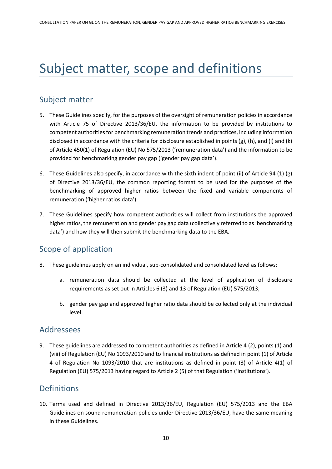# Subject matter, scope and definitions

### Subject matter

- 5. These Guidelines specify, for the purposes of the oversight of remuneration policies in accordance with Article 75 of Directive 2013/36/EU, the information to be provided by institutions to competent authorities for benchmarking remuneration trends and practices, including information disclosed in accordance with the criteria for disclosure established in points (g), (h), and (i) and (k) of Article 450(1) of Regulation (EU) No 575/2013 ('remuneration data') and the information to be provided for benchmarking gender pay gap ('gender pay gap data').
- 6. These Guidelines also specify, in accordance with the sixth indent of point (ii) of Article 94 (1) (g) of Directive 2013/36/EU, the common reporting format to be used for the purposes of the benchmarking of approved higher ratios between the fixed and variable components of remuneration ('higher ratios data').
- 7. These Guidelines specify how competent authorities will collect from institutions the approved higher ratios, the remuneration and gender pay gap data (collectively referred to as 'benchmarking data') and how they will then submit the benchmarking data to the EBA.

### Scope of application

- 8. These guidelines apply on an individual, sub-consolidated and consolidated level as follows:
	- a. remuneration data should be collected at the level of application of disclosure requirements as set out in Articles 6 (3) and 13 of Regulation (EU) 575/2013;
	- b. gender pay gap and approved higher ratio data should be collected only at the individual level.

#### Addressees

9. These guidelines are addressed to competent authorities as defined in Article 4 (2), points (1) and (viii) of Regulation (EU) No 1093/2010 and to financial institutions as defined in point (1) of Article 4 of Regulation No 1093/2010 that are institutions as defined in point (3) of Article 4(1) of Regulation (EU) 575/2013 having regard to Article 2 (5) of that Regulation ('institutions').

### Definitions

10. Terms used and defined in Directive 2013/36/EU, Regulation (EU) 575/2013 and the EBA Guidelines on sound remuneration policies under Directive 2013/36/EU, have the same meaning in these Guidelines.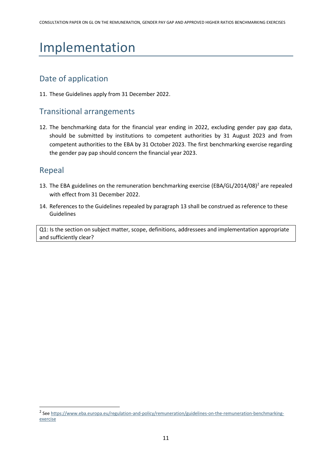# Implementation

### Date of application

11. These Guidelines apply from 31 December 2022.

#### Transitional arrangements

12. The benchmarking data for the financial year ending in 2022, excluding gender pay gap data, should be submitted by institutions to competent authorities by 31 August 2023 and from competent authorities to the EBA by 31 October 2023. The first benchmarking exercise regarding the gender pay pap should concern the financial year 2023.

#### Repeal

- 13. The EBA guidelines on the remuneration benchmarking exercise (EBA/GL/2014/08)<sup>2</sup> are repealed with effect from 31 December 2022.
- 14. References to the Guidelines repealed by paragraph 13 shall be construed as reference to these Guidelines

Q1: Is the section on subject matter, scope, definitions, addressees and implementation appropriate and sufficiently clear?

<sup>&</sup>lt;sup>2</sup> Se[e https://www.eba.europa.eu/regulation-and-policy/remuneration/guidelines-on-the-remuneration-benchmarking](https://www.eba.europa.eu/regulation-and-policy/remuneration/guidelines-on-the-remuneration-benchmarking-exercise)[exercise](https://www.eba.europa.eu/regulation-and-policy/remuneration/guidelines-on-the-remuneration-benchmarking-exercise)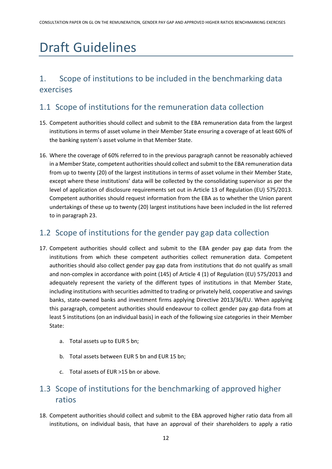# Draft Guidelines

## 1. Scope of institutions to be included in the benchmarking data exercises

## 1.1 Scope of institutions for the remuneration data collection

- 15. Competent authorities should collect and submit to the EBA remuneration data from the largest institutions in terms of asset volume in their Member State ensuring a coverage of at least 60% of the banking system's asset volume in that Member State.
- 16. Where the coverage of 60% referred to in the previous paragraph cannot be reasonably achieved in a Member State, competent authorities should collect and submit to the EBA remuneration data from up to twenty (20) of the largest institutions in terms of asset volume in their Member State, except where these institutions' data will be collected by the consolidating supervisor as per the level of application of disclosure requirements set out in Article 13 of Regulation (EU) 575/2013. Competent authorities should request information from the EBA as to whether the Union parent undertakings of these up to twenty (20) largest institutions have been included in the list referred to in paragraph 23.

### 1.2 Scope of institutions for the gender pay gap data collection

- 17. Competent authorities should collect and submit to the EBA gender pay gap data from the institutions from which these competent authorities collect remuneration data. Competent authorities should also collect gender pay gap data from institutions that do not qualify as small and non-complex in accordance with point (145) of Article 4 (1) of Regulation (EU) 575/2013 and adequately represent the variety of the different types of institutions in that Member State, including institutions with securities admitted to trading or privately held, cooperative and savings banks, state-owned banks and investment firms applying Directive 2013/36/EU. When applying this paragraph, competent authorities should endeavour to collect gender pay gap data from at least 5 institutions (on an individual basis) in each of the following size categories in their Member State:
	- a. Total assets up to EUR 5 bn;
	- b. Total assets between EUR 5 bn and EUR 15 bn;
	- c. Total assets of EUR >15 bn or above.

## 1.3 Scope of institutions for the benchmarking of approved higher ratios

18. Competent authorities should collect and submit to the EBA approved higher ratio data from all institutions, on individual basis, that have an approval of their shareholders to apply a ratio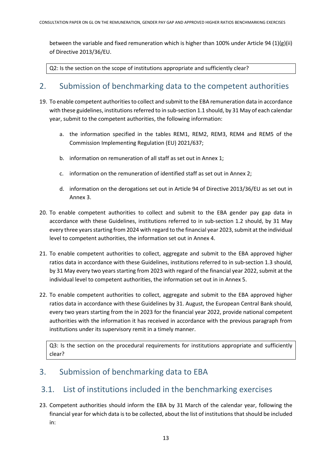between the variable and fixed remuneration which is higher than 100% under Article 94 (1)(g)(ii) of Directive 2013/36/EU.

Q2: Is the section on the scope of institutions appropriate and sufficiently clear?

#### 2. Submission of benchmarking data to the competent authorities

- 19. To enable competent authorities to collect and submit to the EBA remuneration data in accordance with these guidelines, institutions referred to in sub-section 1.1 should, by 31 May of each calendar year, submit to the competent authorities, the following information:
	- a. the information specified in the tables REM1, REM2, REM3, REM4 and REM5 of the Commission Implementing Regulation (EU) 2021/637;
	- b. information on remuneration of all staff as set out in Annex 1;
	- c. information on the remuneration of identified staff as set out in Annex 2;
	- d. information on the derogations set out in Article 94 of Directive 2013/36/EU as set out in Annex 3.
- 20. To enable competent authorities to collect and submit to the EBA gender pay gap data in accordance with these Guidelines, institutions referred to in sub-section 1.2 should, by 31 May every three years starting from 2024 with regard to the financial year 2023, submit at the individual level to competent authorities, the information set out in Annex 4.
- 21. To enable competent authorities to collect, aggregate and submit to the EBA approved higher ratios data in accordance with these Guidelines, institutions referred to in sub-section 1.3 should, by 31 May every two years starting from 2023 with regard of the financial year 2022, submit at the individual level to competent authorities, the information set out in in Annex 5.
- 22. To enable competent authorities to collect, aggregate and submit to the EBA approved higher ratios data in accordance with these Guidelines by 31. August, the European Central Bank should, every two years starting from the in 2023 for the financial year 2022, provide national competent authorities with the information it has received in accordance with the previous paragraph from institutions under its supervisory remit in a timely manner.

Q3: Is the section on the procedural requirements for institutions appropriate and sufficiently clear?

#### 3. Submission of benchmarking data to EBA

#### 3.1. List of institutions included in the benchmarking exercises

23. Competent authorities should inform the EBA by 31 March of the calendar year, following the financial year for which data is to be collected, about the list of institutions that should be included in: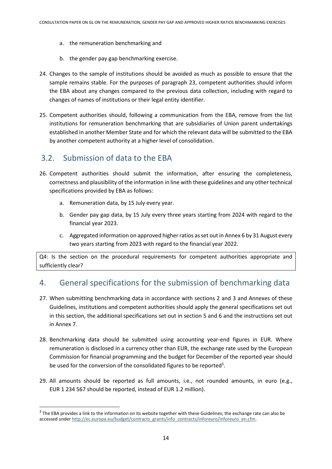- a. the remuneration benchmarking and
- b. the gender pay gap benchmarking exercise.
- 24. Changes to the sample of institutions should be avoided as much as possible to ensure that the sample remains stable. For the purposes of paragraph 23, competent authorities should inform the EBA about any changes compared to the previous data collection, including with regard to changes of names of institutions or their legal entity identifier.
- 25. Competent authorities should, following a communication from the EBA, remove from the list institutions for remuneration benchmarking that are subsidiaries of Union parent undertakings established in another Member State and for which the relevant data will be submitted to the EBA by another competent authority at a higher level of consolidation.

#### 3.2. Submission of data to the EBA

- 26. Competent authorities should submit the information, after ensuring the completeness, correctness and plausibility of the information in line with these guidelines and any other technical specifications provided by EBA as follows:
	- a. Remuneration data, by 15 July every year.
	- b. Gender pay gap data, by 15 July every three years starting from 2024 with regard to the financial year 2023.
	- c. Aggregated information on approved higher ratios as set out in Annex 6 by 31 August every two years starting from 2023 with regard to the financial year 2022.

Q4: Is the section on the procedural requirements for competent authorities appropriate and sufficiently clear?

### 4. General specifications for the submission of benchmarking data

- 27. When submitting benchmarking data in accordance with sections 2 and 3 and Annexes of these Guidelines, institutions and competent authorities should apply the general specifications set out in this section, the additional specifications set out in section 5 and 6 and the instructions set out in Annex 7.
- 28. Benchmarking data should be submitted using accounting year-end figures in EUR. Where remuneration is disclosed in a currency other than EUR, the exchange rate used by the European Commission for financial programming and the budget for December of the reported year should be used for the conversion of the consolidated figures to be reported<sup>3</sup>.
- 29. All amounts should be reported as full amounts, i.e., not rounded amounts, in euro (e.g., EUR 1 234 567 should be reported, instead of EUR 1.2 million).

 $3$  The EBA provides a link to the information on its website together with these Guidelines; the exchange rate can also be accessed unde[r http://ec.europa.eu/budget/contracts\\_grants/info\\_contracts/inforeuro/inforeuro\\_en.cfm.](http://ec.europa.eu/budget/contracts_grants/info_contracts/inforeuro/inforeuro_en.cfm)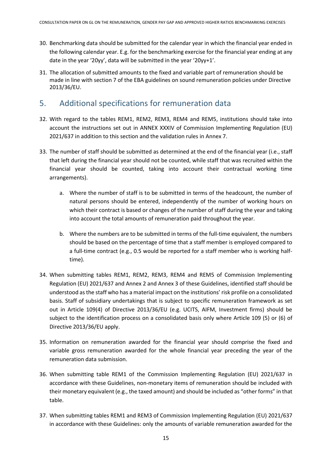- 30. Benchmarking data should be submitted for the calendar year in which the financial year ended in the following calendar year. E.g. for the benchmarking exercise for the financial year ending at any date in the year '20yy', data will be submitted in the year '20yy+1'.
- 31. The allocation of submitted amounts to the fixed and variable part of remuneration should be made in line with section 7 of the EBA guidelines on sound remuneration policies under Directive 2013/36/EU.

### 5. Additional specifications for remuneration data

- 32. With regard to the tables REM1, REM2, REM3, REM4 and REM5, institutions should take into account the instructions set out in ANNEX XXXIV of Commission Implementing Regulation (EU) 2021/637 in addition to this section and the validation rules in Annex 7.
- 33. The number of staff should be submitted as determined at the end of the financial year (i.e., staff that left during the financial year should not be counted, while staff that was recruited within the financial year should be counted, taking into account their contractual working time arrangements).
	- a. Where the number of staff is to be submitted in terms of the headcount, the number of natural persons should be entered, independently of the number of working hours on which their contract is based or changes of the number of staff during the year and taking into account the total amounts of remuneration paid throughout the year.
	- b. Where the numbers are to be submitted in terms of the full-time equivalent, the numbers should be based on the percentage of time that a staff member is employed compared to a full-time contract (e.g., 0.5 would be reported for a staff member who is working halftime).
- 34. When submitting tables REM1, REM2, REM3, REM4 and REM5 of Commission Implementing Regulation (EU) 2021/637 and Annex 2 and Annex 3 of these Guidelines, identified staff should be understood asthe staff who has a material impact on the institutions' risk profile on a consolidated basis. Staff of subsidiary undertakings that is subject to specific remuneration framework as set out in Article 109(4) of Directive 2013/36/EU (e.g. UCITS, AIFM, Investment firms) should be subject to the identification process on a consolidated basis only where Article 109 (5) or (6) of Directive 2013/36/EU apply.
- 35. Information on remuneration awarded for the financial year should comprise the fixed and variable gross remuneration awarded for the whole financial year preceding the year of the remuneration data submission.
- 36. When submitting table REM1 of the Commission Implementing Regulation (EU) 2021/637 in accordance with these Guidelines, non-monetary items of remuneration should be included with their monetary equivalent (e.g., the taxed amount) and should be included as "other forms" in that table.
- 37. When submitting tables REM1 and REM3 of Commission Implementing Regulation (EU) 2021/637 in accordance with these Guidelines: only the amounts of variable remuneration awarded for the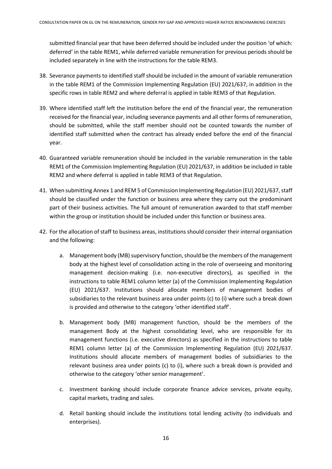submitted financial year that have been deferred should be included under the position 'of which: deferred' in the table REM1, while deferred variable remuneration for previous periods should be included separately in line with the instructions for the table REM3.

- 38. Severance payments to identified staff should be included in the amount of variable remuneration in the table REM1 of the Commission Implementing Regulation (EU) 2021/637, in addition in the specific rows in table REM2 and where deferral is applied in table REM3 of that Regulation.
- 39. Where identified staff left the institution before the end of the financial year, the remuneration received for the financial year, including severance payments and all other forms of remuneration, should be submitted, while the staff member should not be counted towards the number of identified staff submitted when the contract has already ended before the end of the financial year.
- 40. Guaranteed variable remuneration should be included in the variable remuneration in the table REM1 of the Commission Implementing Regulation (EU) 2021/637, in addition be included in table REM2 and where deferral is applied in table REM3 of that Regulation.
- 41. When submitting Annex 1 and REM 5 of Commission Implementing Regulation (EU) 2021/637, staff should be classified under the function or business area where they carry out the predominant part of their business activities. The full amount of remuneration awarded to that staff member within the group or institution should be included under this function or business area.
- 42. For the allocation of staff to business areas, institutions should consider their internal organisation and the following:
	- a. Management body (MB) supervisory function, should be the members of the management body at the highest level of consolidation acting in the role of overseeing and monitoring management decision-making (i.e. non-executive directors), as specified in the instructions to table REM1 column letter (a) of the Commission Implementing Regulation (EU) 2021/637. Institutions should allocate members of management bodies of subsidiaries to the relevant business area under points (c) to (i) where such a break down is provided and otherwise to the category 'other identified staff'.
	- b. Management body (MB) management function, should be the members of the management Body at the highest consolidating level, who are responsible for its management functions (i.e. executive directors) as specified in the instructions to table REM1 column letter (a) of the Commission Implementing Regulation (EU) 2021/637. Institutions should allocate members of management bodies of subsidiaries to the relevant business area under points (c) to (i), where such a break down is provided and otherwise to the category 'other senior management'.
	- c. Investment banking should include corporate finance advice services, private equity, capital markets, trading and sales.
	- d. Retail banking should include the institutions total lending activity (to individuals and enterprises).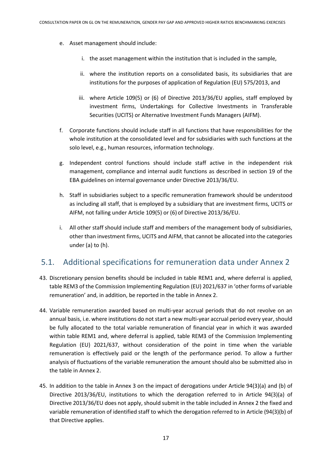- e. Asset management should include:
	- i. the asset management within the institution that is included in the sample,
	- ii. where the institution reports on a consolidated basis, its subsidiaries that are institutions for the purposes of application of Regulation (EU) 575/2013, and
	- iii. where Article 109(5) or (6) of Directive 2013/36/EU applies, staff employed by investment firms, Undertakings for Collective Investments in Transferable Securities (UCITS) or Alternative Investment Funds Managers (AIFM).
- f. Corporate functions should include staff in all functions that have responsibilities for the whole institution at the consolidated level and for subsidiaries with such functions at the solo level, e.g., human resources, information technology.
- g. Independent control functions should include staff active in the independent risk management, compliance and internal audit functions as described in section 19 of the EBA guidelines on internal governance under Directive 2013/36/EU.
- h. Staff in subsidiaries subject to a specific remuneration framework should be understood as including all staff, that is employed by a subsidiary that are investment firms, UCITS or AIFM, not falling under Article 109(5) or (6) of Directive 2013/36/EU.
- i. All other staff should include staff and members of the management body of subsidiaries, other than investment firms, UCITS and AIFM, that cannot be allocated into the categories under (a) to (h).

#### 5.1. Additional specifications for remuneration data under Annex 2

- 43. Discretionary pension benefits should be included in table REM1 and, where deferral is applied, table REM3 of the Commission Implementing Regulation (EU) 2021/637 in 'other forms of variable remuneration' and, in addition, be reported in the table in Annex 2.
- 44. Variable remuneration awarded based on multi-year accrual periods that do not revolve on an annual basis, i.e. where institutions do not start a new multi-year accrual period every year, should be fully allocated to the total variable remuneration of financial year in which it was awarded within table REM1 and, where deferral is applied, table REM3 of the Commission Implementing Regulation (EU) 2021/637, without consideration of the point in time when the variable remuneration is effectively paid or the length of the performance period. To allow a further analysis of fluctuations of the variable remuneration the amount should also be submitted also in the table in Annex 2.
- 45. In addition to the table in Annex 3 on the impact of derogations under Article 94(3)(a) and (b) of Directive 2013/36/EU, institutions to which the derogation referred to in Article 94(3)(a) of Directive 2013/36/EU does not apply, should submit in the table included in Annex 2 the fixed and variable remuneration of identified staff to which the derogation referred to in Article (94(3)(b) of that Directive applies.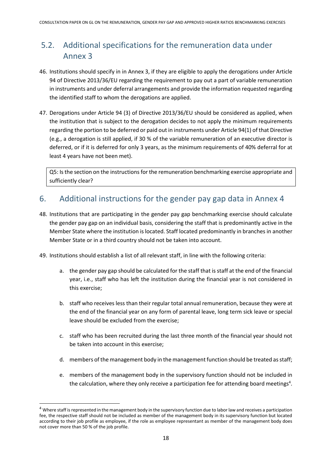## 5.2. Additional specifications for the remuneration data under Annex 3

- 46. Institutions should specify in in Annex 3, if they are eligible to apply the derogations under Article 94 of Directive 2013/36/EU regarding the requirement to pay out a part of variable remuneration in instruments and under deferral arrangements and provide the information requested regarding the identified staff to whom the derogations are applied.
- 47. Derogations under Article 94 (3) of Directive 2013/36/EU should be considered as applied, when the institution that is subject to the derogation decides to not apply the minimum requirements regarding the portion to be deferred or paid out in instruments under Article 94(1) of that Directive (e.g., a derogation is still applied, if 30 % of the variable remuneration of an executive director is deferred, or if it is deferred for only 3 years, as the minimum requirements of 40% deferral for at least 4 years have not been met).

Q5: Is the section on the instructions for the remuneration benchmarking exercise appropriate and sufficiently clear?

## 6. Additional instructions for the gender pay gap data in Annex 4

- 48. Institutions that are participating in the gender pay gap benchmarking exercise should calculate the gender pay gap on an individual basis, considering the staff that is predominantly active in the Member State where the institution is located. Staff located predominantly in branches in another Member State or in a third country should not be taken into account.
- 49. Institutions should establish a list of all relevant staff, in line with the following criteria:
	- a. the gender pay gap should be calculated for the staff that is staff at the end of the financial year, i.e., staff who has left the institution during the financial year is not considered in this exercise;
	- b. staff who receives less than their regular total annual remuneration, because they were at the end of the financial year on any form of parental leave, long term sick leave or special leave should be excluded from the exercise;
	- c. staff who has been recruited during the last three month of the financial year should not be taken into account in this exercise;
	- d. members of the management body in the management function should be treated as staff;
	- e. members of the management body in the supervisory function should not be included in the calculation, where they only receive a participation fee for attending board meetings<sup>4</sup>.

 $4$  Where staff is represented in the management body in the supervisory function due to labor law and receives a participation fee, the respective staff should not be included as member of the management body in its supervisory function but located according to their job profile as employee, if the role as employee representant as member of the management body does not cover more than 50 % of the job profile.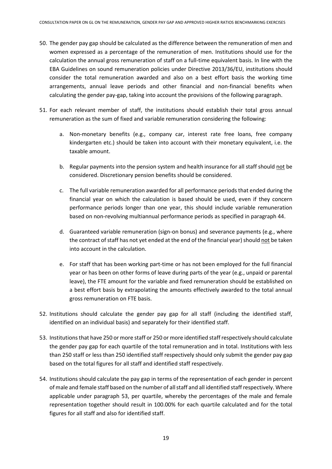- 50. The gender pay gap should be calculated as the difference between the remuneration of men and women expressed as a percentage of the remuneration of men. Institutions should use for the calculation the annual gross remuneration of staff on a full-time equivalent basis. In line with the EBA Guidelines on sound remuneration policies under Directive 2013/36/EU, institutions should consider the total remuneration awarded and also on a best effort basis the working time arrangements, annual leave periods and other financial and non-financial benefits when calculating the gender pay-gap, taking into account the provisions of the following paragraph.
- 51. For each relevant member of staff, the institutions should establish their total gross annual remuneration as the sum of fixed and variable remuneration considering the following:
	- a. Non-monetary benefits (e.g., company car, interest rate free loans, free company kindergarten etc.) should be taken into account with their monetary equivalent, i.e. the taxable amount.
	- b. Regular payments into the pension system and health insurance for all staff should not be considered. Discretionary pension benefits should be considered.
	- c. The full variable remuneration awarded for all performance periods that ended during the financial year on which the calculation is based should be used, even if they concern performance periods longer than one year, this should include variable remuneration based on non-revolving multiannual performance periods as specified in paragraph 44.
	- d. Guaranteed variable remuneration (sign-on bonus) and severance payments (e.g., where the contract of staff has not yet ended at the end of the financial year) should not be taken into account in the calculation.
	- e. For staff that has been working part-time or has not been employed for the full financial year or has been on other forms of leave during parts of the year (e.g., unpaid or parental leave), the FTE amount for the variable and fixed remuneration should be established on a best effort basis by extrapolating the amounts effectively awarded to the total annual gross remuneration on FTE basis.
- 52. Institutions should calculate the gender pay gap for all staff (including the identified staff, identified on an individual basis) and separately for their identified staff.
- 53. Institutions that have 250 or more staff or 250 or more identified staff respectively should calculate the gender pay gap for each quartile of the total remuneration and in total. Institutions with less than 250 staff or less than 250 identified staff respectively should only submit the gender pay gap based on the total figures for all staff and identified staff respectively.
- 54. Institutions should calculate the pay gap in terms of the representation of each gender in percent of male and female staff based on the number of all staff and all identified staff respectively. Where applicable under paragraph 53, per quartile, whereby the percentages of the male and female representation together should result in 100.00% for each quartile calculated and for the total figures for all staff and also for identified staff.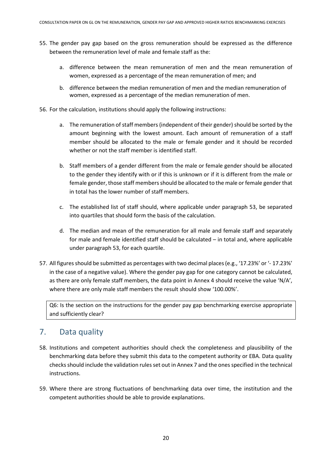- 55. The gender pay gap based on the gross remuneration should be expressed as the difference between the remuneration level of male and female staff as the:
	- a. difference between the mean remuneration of men and the mean remuneration of women, expressed as a percentage of the mean remuneration of men; and
	- b. difference between the median remuneration of men and the median remuneration of women, expressed as a percentage of the median remuneration of men.
- 56. For the calculation, institutions should apply the following instructions:
	- a. The remuneration of staff members (independent of their gender) should be sorted by the amount beginning with the lowest amount. Each amount of remuneration of a staff member should be allocated to the male or female gender and it should be recorded whether or not the staff member is identified staff.
	- b. Staff members of a gender different from the male or female gender should be allocated to the gender they identify with or if this is unknown or if it is different from the male or female gender, those staff members should be allocated to the male or female gender that in total has the lower number of staff members.
	- c. The established list of staff should, where applicable under paragraph 53, be separated into quartiles that should form the basis of the calculation.
	- d. The median and mean of the remuneration for all male and female staff and separately for male and female identified staff should be calculated – in total and, where applicable under paragraph 53, for each quartile.
- 57. All figures should be submitted as percentages with two decimal places (e.g., '17.23%' or '- 17.23%' in the case of a negative value). Where the gender pay gap for one category cannot be calculated, as there are only female staff members, the data point in Annex 4 should receive the value 'N/A', where there are only male staff members the result should show '100.00%'.

Q6: Is the section on the instructions for the gender pay gap benchmarking exercise appropriate and sufficiently clear?

#### 7. Data quality

- 58. Institutions and competent authorities should check the completeness and plausibility of the benchmarking data before they submit this data to the competent authority or EBA. Data quality checks should include the validation rules set out in Annex 7 and the ones specified in the technical instructions.
- 59. Where there are strong fluctuations of benchmarking data over time, the institution and the competent authorities should be able to provide explanations.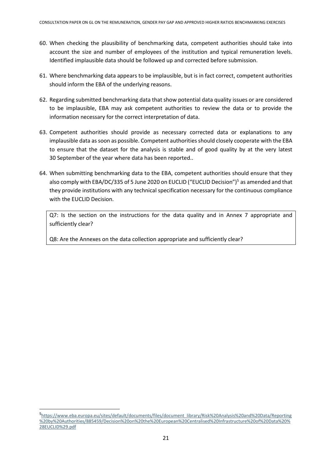- 60. When checking the plausibility of benchmarking data, competent authorities should take into account the size and number of employees of the institution and typical remuneration levels. Identified implausible data should be followed up and corrected before submission.
- 61. Where benchmarking data appears to be implausible, but is in fact correct, competent authorities should inform the EBA of the underlying reasons.
- 62. Regarding submitted benchmarking data that show potential data quality issues or are considered to be implausible, EBA may ask competent authorities to review the data or to provide the information necessary for the correct interpretation of data.
- 63. Competent authorities should provide as necessary corrected data or explanations to any implausible data as soon as possible. Competent authorities should closely cooperate with the EBA to ensure that the dataset for the analysis is stable and of good quality by at the very latest 30 September of the year where data has been reported..
- 64. When submitting benchmarking data to the EBA, competent authorities should ensure that they also comply with EBA/DC/335 of 5 June 2020 on EUCLID ("EUCLID Decision")<sup>5</sup> as amended and that they provide institutions with any technical specification necessary for the continuous compliance with the EUCLID Decision.

Q7: Is the section on the instructions for the data quality and in Annex 7 appropriate and sufficiently clear?

Q8: Are the Annexes on the data collection appropriate and sufficiently clear?

<sup>5</sup> [https://www.eba.europa.eu/sites/default/documents/files/document\\_library/Risk%20Analysis%20and%20Data/Reporting](https://www.eba.europa.eu/sites/default/documents/files/document_library/Risk%20Analysis%20and%20Data/Reporting%20by%20Authorities/885459/Decision%20on%20the%20European%20Centralised%20Infrastructure%20of%20Data%20%28EUCLID%29.pdf) [%20by%20Authorities/885459/Decision%20on%20the%20European%20Centralised%20Infrastructure%20of%20Data%20%](https://www.eba.europa.eu/sites/default/documents/files/document_library/Risk%20Analysis%20and%20Data/Reporting%20by%20Authorities/885459/Decision%20on%20the%20European%20Centralised%20Infrastructure%20of%20Data%20%28EUCLID%29.pdf) [28EUCLID%29.pdf](https://www.eba.europa.eu/sites/default/documents/files/document_library/Risk%20Analysis%20and%20Data/Reporting%20by%20Authorities/885459/Decision%20on%20the%20European%20Centralised%20Infrastructure%20of%20Data%20%28EUCLID%29.pdf)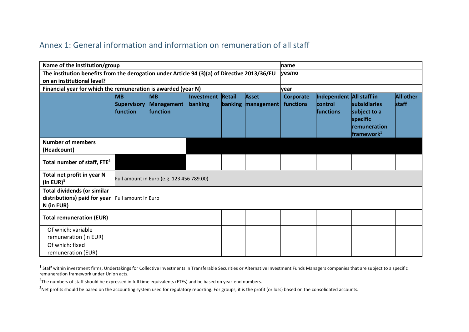#### Annex 1: General information and information on remuneration of all staff

|                                                                                              | Name of the institution/group<br>name       |                                           |                       |        |                                    |                               |                                                  |                                                                           |                                  |
|----------------------------------------------------------------------------------------------|---------------------------------------------|-------------------------------------------|-----------------------|--------|------------------------------------|-------------------------------|--------------------------------------------------|---------------------------------------------------------------------------|----------------------------------|
| The institution benefits from the derogation under Article 94 (3)(a) of Directive 2013/36/EU |                                             |                                           |                       |        | yes/no                             |                               |                                                  |                                                                           |                                  |
| on an institutional level?                                                                   |                                             |                                           |                       |        |                                    |                               |                                                  |                                                                           |                                  |
| Financial year for which the remuneration is awarded (year N)                                |                                             |                                           |                       |        |                                    | vear                          |                                                  |                                                                           |                                  |
|                                                                                              | MВ<br><b>Supervisory</b><br><b>function</b> | lмв<br>Management<br><b>function</b>      | Investment<br>banking | Retail | <b>Asset</b><br>banking management | <b>Corporate</b><br>functions | Independent All staff in<br>control<br>functions | subsidiaries<br>subject to a<br>specific<br>remuneration<br>framework $1$ | <b>All other</b><br><b>staff</b> |
| <b>Number of members</b><br>(Headcount)                                                      |                                             |                                           |                       |        |                                    |                               |                                                  |                                                                           |                                  |
| Total number of staff, FTE <sup>2</sup>                                                      |                                             |                                           |                       |        |                                    |                               |                                                  |                                                                           |                                  |
| Total net profit in year N<br>(in EUR) $3$                                                   |                                             | Full amount in Euro (e.g. 123 456 789.00) |                       |        |                                    |                               |                                                  |                                                                           |                                  |
| <b>Total dividends (or similar</b><br>distributions) paid for year<br>N (in EUR)             | Full amount in Euro                         |                                           |                       |        |                                    |                               |                                                  |                                                                           |                                  |
| <b>Total remuneration (EUR)</b>                                                              |                                             |                                           |                       |        |                                    |                               |                                                  |                                                                           |                                  |
| Of which: variable<br>remuneration (in EUR)                                                  |                                             |                                           |                       |        |                                    |                               |                                                  |                                                                           |                                  |
| Of which: fixed<br>remuneration (EUR)                                                        |                                             |                                           |                       |        |                                    |                               |                                                  |                                                                           |                                  |

 $^1$  Staff within investment firms, Undertakings for Collective Investments in Transferable Securities or Alternative Investment Funds Managers companies that are subject to a specific remuneration framework under Union acts.

 $^{2}$ The numbers of staff should be expressed in full time equivalents (FTEs) and be based on year-end numbers.

<sup>&</sup>lt;sup>3</sup>Net profits should be based on the accounting system used for regulatory reporting. For groups, it is the profit (or loss) based on the consolidated accounts.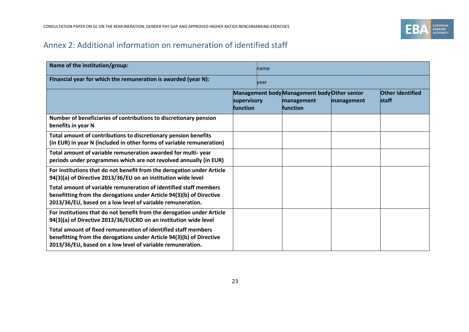

## Annex 2: Additional information on remuneration of identified staff

| Name of the institution/group:                                                                                                                                                                          |                                | <b>Iname</b> |                                                                               |            |                                         |
|---------------------------------------------------------------------------------------------------------------------------------------------------------------------------------------------------------|--------------------------------|--------------|-------------------------------------------------------------------------------|------------|-----------------------------------------|
| Financial year for which the remuneration is awarded (year N):                                                                                                                                          |                                | vear         |                                                                               |            |                                         |
|                                                                                                                                                                                                         | supervisory<br><b>function</b> |              | Management body Management body Other senior<br>management<br><b>function</b> | management | <b>Other identified</b><br><b>staff</b> |
| Number of beneficiaries of contributions to discretionary pension<br>benefits in year N                                                                                                                 |                                |              |                                                                               |            |                                         |
| Total amount of contributions to discretionary pension benefits<br>(in EUR) in year N (included in other forms of variable remuneration)                                                                |                                |              |                                                                               |            |                                         |
| Total amount of variable remuneration awarded for multi-year<br>periods under programmes which are not revolved annually (in EUR)                                                                       |                                |              |                                                                               |            |                                         |
| For institutions that do not benefit from the derogation under Article<br>94(3)(a) of Directive 2013/36/EU on an institution wide level                                                                 |                                |              |                                                                               |            |                                         |
| Total amount of variable remuneration of identified staff members<br>benefitting from the derogations under Article 94(3)(b) of Directive<br>2013/36/EU, based on a low level of variable remuneration. |                                |              |                                                                               |            |                                         |
| For institutions that do not benefit from the derogation under Article<br>94(3)(a) of Directive 2013/36/EUCRD on an institution wide level                                                              |                                |              |                                                                               |            |                                         |
| Total amount of fixed remuneration of identified staff members<br>benefitting from the derogations under Article 94(3)(b) of Directive<br>2013/36/EU, based on a low level of variable remuneration.    |                                |              |                                                                               |            |                                         |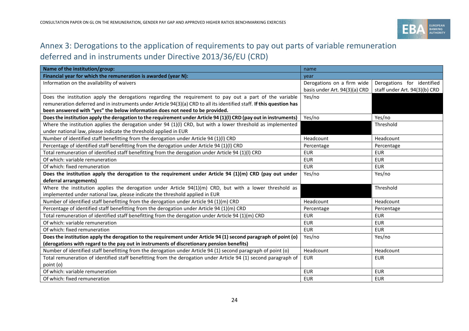

## Annex 3: Derogations to the application of requirements to pay out parts of variable remuneration deferred and in instruments under Directive 2013/36/EU (CRD)

| Name of the institution/group:                                                                                        | name                          |                               |  |
|-----------------------------------------------------------------------------------------------------------------------|-------------------------------|-------------------------------|--|
| Financial year for which the remuneration is awarded (year N):                                                        | vear                          |                               |  |
| Information on the availability of waivers                                                                            | Derogations on a firm wide    | Derogations for identified    |  |
|                                                                                                                       | basis under Art. 94(3)(a) CRD | staff under Art. 94(3)(b) CRD |  |
| Does the institution apply the derogations regarding the requirement to pay out a part of the variable                | Yes/no                        |                               |  |
| remuneration deferred and in instruments under Article 94(3)(a) CRD to all its identified staff. If this question has |                               |                               |  |
| been answered with "yes" the below information does not need to be provided.                                          |                               |                               |  |
| Does the institution apply the derogation to the requirement under Article 94 (1)(I) CRD (pay out in instruments)     | Yes/no                        | Yes/no                        |  |
| Where the institution applies the derogation under 94 (1)(I) CRD, but with a lower threshold as implemented           |                               | Threshold                     |  |
| under national law, please indicate the threshold applied in EUR                                                      |                               |                               |  |
| Number of identified staff benefitting from the derogation under Article 94 (1)(I) CRD                                | Headcount                     | Headcount                     |  |
| Percentage of identified staff benefitting from the derogation under Article 94 (1)(I) CRD                            | Percentage                    | Percentage                    |  |
| Total remuneration of identified staff benefitting from the derogation under Article 94 (1)(I) CRD                    | <b>EUR</b>                    | <b>EUR</b>                    |  |
| Of which: variable remuneration                                                                                       | <b>EUR</b>                    | <b>EUR</b>                    |  |
| Of which: fixed remuneration                                                                                          | <b>EUR</b>                    | <b>EUR</b>                    |  |
| Does the institution apply the derogation to the requirement under Article 94 $(1)(m)$ CRD (pay out under             | Yes/no                        | Yes/no                        |  |
| deferral arrangements)                                                                                                |                               |                               |  |
| Where the institution applies the derogation under Article $94(1)(m)$ CRD, but with a lower threshold as              |                               | Threshold                     |  |
| implemented under national law, please indicate the threshold applied in EUR                                          |                               |                               |  |
| Number of identified staff benefitting from the derogation under Article 94 (1)(m) CRD                                | Headcount                     | Headcount                     |  |
| Percentage of identified staff benefitting from the derogation under Article 94 (1)(m) CRD                            | Percentage                    | Percentage                    |  |
| Total remuneration of identified staff benefitting from the derogation under Article 94 (1)(m) CRD                    | <b>EUR</b>                    | <b>EUR</b>                    |  |
| Of which: variable remuneration                                                                                       | <b>EUR</b>                    | <b>EUR</b>                    |  |
| Of which: fixed remuneration                                                                                          | <b>EUR</b>                    | <b>EUR</b>                    |  |
| Does the institution apply the derogation to the requirement under Article 94 (1) second paragraph of point (o)       | Yes/no                        | Yes/no                        |  |
| (derogations with regard to the pay out in instruments of discretionary pension benefits)                             |                               |                               |  |
| Number of identified staff benefitting from the derogation under Article 94 (1) second paragraph of point (o)         | Headcount                     | Headcount                     |  |
| Total remuneration of identified staff benefitting from the derogation under Article 94 (1) second paragraph of       | <b>EUR</b>                    | <b>EUR</b>                    |  |
| point (o)                                                                                                             |                               |                               |  |
| Of which: variable remuneration                                                                                       | <b>EUR</b>                    | <b>EUR</b>                    |  |
| Of which: fixed remuneration                                                                                          | <b>EUR</b>                    | <b>EUR</b>                    |  |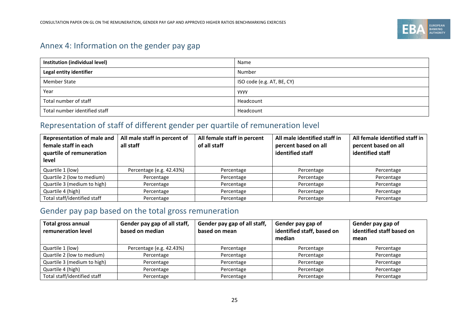

## Annex 4: Information on the gender pay gap

| Institution (individual level) | Name                       |
|--------------------------------|----------------------------|
| Legal entity identifier        | Number                     |
| Member State                   | ISO code (e.g. AT, BE, CY) |
| Year                           | <b>YYYY</b>                |
| Total number of staff          | Headcount                  |
| Total number identified staff  | Headcount                  |

## Representation of staff of different gender per quartile of remuneration level

| <b>Representation of male and</b><br>female staff in each<br>quartile of remuneration<br>level | All male staff in percent of<br>all staff | All female staff in percent<br>of all staff | All male identified staff in<br>percent based on all<br>identified staff | All female identified staff in<br>percent based on all<br>identified staff |
|------------------------------------------------------------------------------------------------|-------------------------------------------|---------------------------------------------|--------------------------------------------------------------------------|----------------------------------------------------------------------------|
| Quartile 1 (low)                                                                               | Percentage (e.g. 42.43%)                  | Percentage                                  | Percentage                                                               | Percentage                                                                 |
| Quartile 2 (low to medium)                                                                     | Percentage                                | Percentage                                  | Percentage                                                               | Percentage                                                                 |
| Quartile 3 (medium to high)                                                                    | Percentage                                | Percentage                                  | Percentage                                                               | Percentage                                                                 |
| Quartile 4 (high)                                                                              | Percentage                                | Percentage                                  | Percentage                                                               | Percentage                                                                 |
| Total staff/identified staff                                                                   | Percentage                                | Percentage                                  | Percentage                                                               | Percentage                                                                 |

## Gender pay pap based on the total gross remuneration

| <b>Total gross annual</b><br>remuneration level | Gender pay gap of all staff,<br>based on median | Gender pay gap of all staff,<br>based on mean | Gender pay gap of<br>identified staff, based on<br>median | Gender pay gap of<br>identified staff based on<br>mean |
|-------------------------------------------------|-------------------------------------------------|-----------------------------------------------|-----------------------------------------------------------|--------------------------------------------------------|
| Quartile 1 (low)                                | Percentage (e.g. 42.43%)                        | Percentage                                    | Percentage                                                | Percentage                                             |
| Quartile 2 (low to medium)                      | Percentage                                      | Percentage                                    | Percentage                                                | Percentage                                             |
| Quartile 3 (medium to high)                     | Percentage                                      | Percentage                                    | Percentage                                                | Percentage                                             |
| Quartile 4 (high)                               | Percentage                                      | Percentage                                    | Percentage                                                | Percentage                                             |
| Total staff/identified staff                    | Percentage                                      | Percentage                                    | Percentage                                                | Percentage                                             |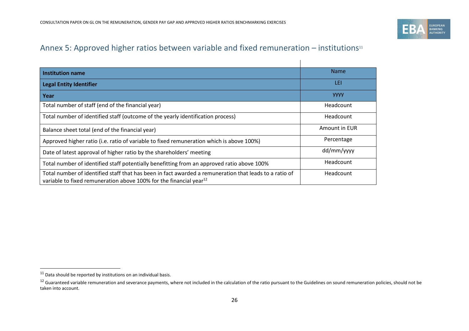

## Annex 5: Approved higher ratios between variable and fixed remuneration - institutions<sup>11</sup>

 $\mathbf{I}$ 

| <b>Institution name</b>                                                                                                                                                                  | <b>Name</b>   |
|------------------------------------------------------------------------------------------------------------------------------------------------------------------------------------------|---------------|
| <b>Legal Entity Identifier</b>                                                                                                                                                           | LEI           |
| Year                                                                                                                                                                                     | <b>YYYY</b>   |
| Total number of staff (end of the financial year)                                                                                                                                        | Headcount     |
| Total number of identified staff (outcome of the yearly identification process)                                                                                                          | Headcount     |
| Balance sheet total (end of the financial year)                                                                                                                                          | Amount in EUR |
| Approved higher ratio (i.e. ratio of variable to fixed remuneration which is above 100%)                                                                                                 | Percentage    |
| Date of latest approval of higher ratio by the shareholders' meeting                                                                                                                     | dd/mm/yyyy    |
| Total number of identified staff potentially benefitting from an approved ratio above 100%                                                                                               | Headcount     |
| Total number of identified staff that has been in fact awarded a remuneration that leads to a ratio of<br>variable to fixed remuneration above 100% for the financial year <sup>12</sup> | Headcount     |

 $11$  Data should be reported by institutions on an individual basis.

<sup>&</sup>lt;sup>12</sup> Guaranteed variable remuneration and severance payments, where not included in the calculation of the ratio pursuant to the Guidelines on sound remuneration policies, should not be taken into account.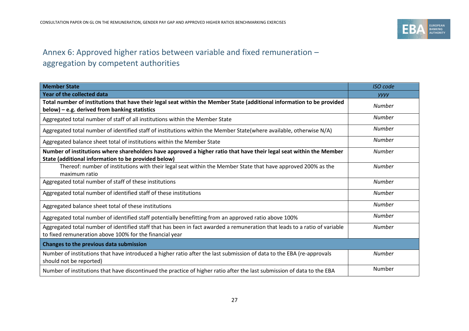

## Annex 6: Approved higher ratios between variable and fixed remuneration – aggregation by competent authorities

| <b>Member State</b>                                                                                                                                                                   | <b>ISO</b> code |
|---------------------------------------------------------------------------------------------------------------------------------------------------------------------------------------|-----------------|
| <b>Year of the collected data</b>                                                                                                                                                     | <b>yyyy</b>     |
| Total number of institutions that have their legal seat within the Member State (additional information to be provided<br>below) - e.g. derived from banking statistics               | <b>Number</b>   |
| Aggregated total number of staff of all institutions within the Member State                                                                                                          | <b>Number</b>   |
| Aggregated total number of identified staff of institutions within the Member State(where available, otherwise N/A)                                                                   | <b>Number</b>   |
| Aggregated balance sheet total of institutions within the Member State                                                                                                                | Number          |
| Number of institutions where shareholders have approved a higher ratio that have their legal seat within the Member<br>State (additional information to be provided below)            | <b>Number</b>   |
| Thereof: number of institutions with their legal seat within the Member State that have approved 200% as the<br>maximum ratio                                                         | <b>Number</b>   |
| Aggregated total number of staff of these institutions                                                                                                                                | <b>Number</b>   |
| Aggregated total number of identified staff of these institutions                                                                                                                     | <b>Number</b>   |
| Aggregated balance sheet total of these institutions                                                                                                                                  | <b>Number</b>   |
| Aggregated total number of identified staff potentially benefitting from an approved ratio above 100%                                                                                 | Number          |
| Aggregated total number of identified staff that has been in fact awarded a remuneration that leads to a ratio of variable<br>to fixed remuneration above 100% for the financial year | <b>Number</b>   |
| Changes to the previous data submission                                                                                                                                               |                 |
| Number of institutions that have introduced a higher ratio after the last submission of data to the EBA (re-approvals<br>should not be reported)                                      | <b>Number</b>   |
| Number of institutions that have discontinued the practice of higher ratio after the last submission of data to the EBA                                                               | Number          |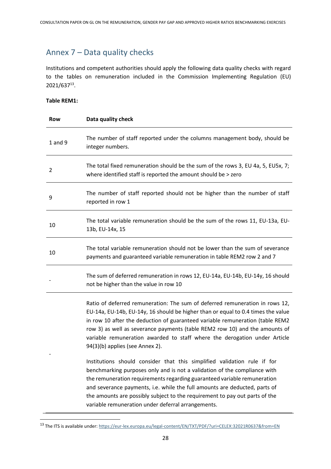### Annex 7 – Data quality checks

Institutions and competent authorities should apply the following data quality checks with regard to the tables on remuneration included in the Commission Implementing Regulation (EU) 2021/637<sup>13</sup> .

#### **Table REM1:**

| Row         | Data quality check                                                                                                                                                                                                                                                                                                                                                                                                                                                                                                                                                                                                                                                                                                                                                                                                                                                                                       |
|-------------|----------------------------------------------------------------------------------------------------------------------------------------------------------------------------------------------------------------------------------------------------------------------------------------------------------------------------------------------------------------------------------------------------------------------------------------------------------------------------------------------------------------------------------------------------------------------------------------------------------------------------------------------------------------------------------------------------------------------------------------------------------------------------------------------------------------------------------------------------------------------------------------------------------|
| $1$ and $9$ | The number of staff reported under the columns management body, should be<br>integer numbers.                                                                                                                                                                                                                                                                                                                                                                                                                                                                                                                                                                                                                                                                                                                                                                                                            |
| 2           | The total fixed remuneration should be the sum of the rows 3, EU 4a, 5, EU5x, 7;<br>where identified staff is reported the amount should be > zero                                                                                                                                                                                                                                                                                                                                                                                                                                                                                                                                                                                                                                                                                                                                                       |
| 9           | The number of staff reported should not be higher than the number of staff<br>reported in row 1                                                                                                                                                                                                                                                                                                                                                                                                                                                                                                                                                                                                                                                                                                                                                                                                          |
| 10          | The total variable remuneration should be the sum of the rows 11, EU-13a, EU-<br>13b, EU-14x, 15                                                                                                                                                                                                                                                                                                                                                                                                                                                                                                                                                                                                                                                                                                                                                                                                         |
| 10          | The total variable remuneration should not be lower than the sum of severance<br>payments and guaranteed variable remuneration in table REM2 row 2 and 7                                                                                                                                                                                                                                                                                                                                                                                                                                                                                                                                                                                                                                                                                                                                                 |
|             | The sum of deferred remuneration in rows 12, EU-14a, EU-14b, EU-14y, 16 should<br>not be higher than the value in row 10                                                                                                                                                                                                                                                                                                                                                                                                                                                                                                                                                                                                                                                                                                                                                                                 |
|             | Ratio of deferred remuneration: The sum of deferred remuneration in rows 12,<br>EU-14a, EU-14b, EU-14y, 16 should be higher than or equal to 0.4 times the value<br>in row 10 after the deduction of guaranteed variable remuneration (table REM2<br>row 3) as well as severance payments (table REM2 row 10) and the amounts of<br>variable remuneration awarded to staff where the derogation under Article<br>94(3)(b) applies (see Annex 2).<br>Institutions should consider that this simplified validation rule if for<br>benchmarking purposes only and is not a validation of the compliance with<br>the remuneration requirements regarding guaranteed variable remuneration<br>and severance payments, i.e. while the full amounts are deducted, parts of<br>the amounts are possibly subject to the requirement to pay out parts of the<br>variable remuneration under deferral arrangements. |

<sup>13</sup> The ITS is available under:<https://eur-lex.europa.eu/legal-content/EN/TXT/PDF/?uri=CELEX:32021R0637&from=EN>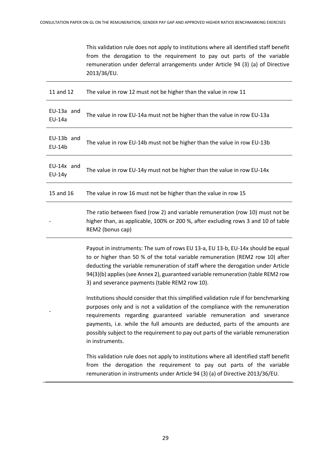This validation rule does not apply to institutions where all identified staff benefit from the derogation to the requirement to pay out parts of the variable remuneration under deferral arrangements under Article 94 (3) (a) of Directive 2013/36/EU.

| 11 and 12                   | The value in row 12 must not be higher than the value in row 11                                                                                                                                                                                                                                                                                                                                                                         |
|-----------------------------|-----------------------------------------------------------------------------------------------------------------------------------------------------------------------------------------------------------------------------------------------------------------------------------------------------------------------------------------------------------------------------------------------------------------------------------------|
| EU-13a and<br><b>EU-14a</b> | The value in row EU-14a must not be higher than the value in row EU-13a                                                                                                                                                                                                                                                                                                                                                                 |
| EU-13b and<br>EU-14b        | The value in row EU-14b must not be higher than the value in row EU-13b                                                                                                                                                                                                                                                                                                                                                                 |
| EU-14x and<br>EU-14y        | The value in row EU-14y must not be higher than the value in row EU-14x                                                                                                                                                                                                                                                                                                                                                                 |
| 15 and 16                   | The value in row 16 must not be higher than the value in row 15                                                                                                                                                                                                                                                                                                                                                                         |
|                             | The ratio between fixed (row 2) and variable remuneration (row 10) must not be<br>higher than, as applicable, 100% or 200 %, after excluding rows 3 and 10 of table<br>REM2 (bonus cap)                                                                                                                                                                                                                                                 |
|                             | Payout in instruments: The sum of rows EU 13-a, EU 13-b, EU-14x should be equal<br>to or higher than 50 % of the total variable remuneration (REM2 row 10) after<br>deducting the variable remuneration of staff where the derogation under Article<br>94(3)(b) applies (see Annex 2), guaranteed variable remuneration (table REM2 row<br>3) and severance payments (table REM2 row 10).                                               |
|                             | Institutions should consider that this simplified validation rule if for benchmarking<br>purposes only and is not a validation of the compliance with the remuneration<br>requirements regarding guaranteed variable remuneration and severance<br>payments, i.e. while the full amounts are deducted, parts of the amounts are<br>possibly subject to the requirement to pay out parts of the variable remuneration<br>in instruments. |
|                             | This validation rule does not apply to institutions where all identified staff benefit<br>from the derogation the requirement to pay out parts of the variable<br>remuneration in instruments under Article 94 (3) (a) of Directive 2013/36/EU.                                                                                                                                                                                         |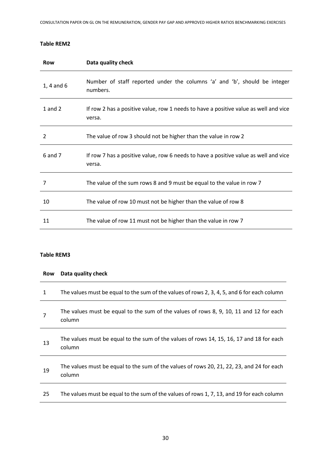#### **Table REM2**

| Row            | Data quality check                                                                             |
|----------------|------------------------------------------------------------------------------------------------|
| $1, 4$ and $6$ | Number of staff reported under the columns 'a' and 'b', should be integer<br>numbers.          |
| 1 and $2$      | If row 2 has a positive value, row 1 needs to have a positive value as well and vice<br>versa. |
| $\overline{2}$ | The value of row 3 should not be higher than the value in row 2                                |
| 6 and 7        | If row 7 has a positive value, row 6 needs to have a positive value as well and vice<br>versa. |
| 7              | The value of the sum rows 8 and 9 must be equal to the value in row 7                          |
| 10             | The value of row 10 must not be higher than the value of row 8                                 |
| 11             | The value of row 11 must not be higher than the value in row 7                                 |

#### **Table REM3**

| <b>Row</b> | Data quality check                                                                                  |
|------------|-----------------------------------------------------------------------------------------------------|
| 1          | The values must be equal to the sum of the values of rows 2, 3, 4, 5, and 6 for each column         |
| 7          | The values must be equal to the sum of the values of rows 8, 9, 10, 11 and 12 for each<br>column    |
| 13         | The values must be equal to the sum of the values of rows 14, 15, 16, 17 and 18 for each<br>column  |
| 19         | The values must be equal to the sum of the values of rows 20, 21, 22, 23, and 24 for each<br>column |
| 25         | The values must be equal to the sum of the values of rows 1, 7, 13, and 19 for each column          |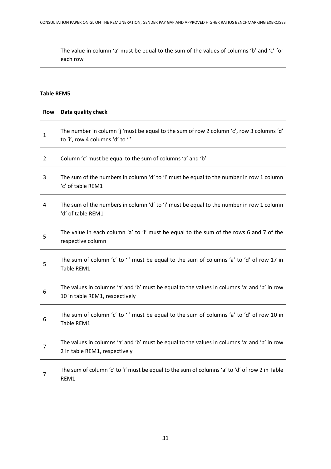The value in column 'a' must be equal to the sum of the values of columns 'b' and 'c' for each row

#### **Table REM5**

-

| Row            | Data quality check                                                                                                            |
|----------------|-------------------------------------------------------------------------------------------------------------------------------|
| $\mathbf{1}$   | The number in column 'j 'must be equal to the sum of row 2 column 'c', row 3 columns 'd'<br>to 'i', row 4 columns 'd' to 'i'  |
| $\overline{2}$ | Column 'c' must be equal to the sum of columns 'a' and 'b'                                                                    |
| 3              | The sum of the numbers in column 'd' to 'i' must be equal to the number in row 1 column<br>'c' of table REM1                  |
| 4              | The sum of the numbers in column 'd' to 'i' must be equal to the number in row 1 column<br>'d' of table REM1                  |
| 5              | The value in each column 'a' to 'i' must be equal to the sum of the rows 6 and 7 of the<br>respective column                  |
| 5              | The sum of column 'c' to 'i' must be equal to the sum of columns 'a' to 'd' of row 17 in<br>Table REM1                        |
| 6              | The values in columns 'a' and 'b' must be equal to the values in columns 'a' and 'b' in row<br>10 in table REM1, respectively |
| 6              | The sum of column 'c' to 'i' must be equal to the sum of columns 'a' to 'd' of row 10 in<br>Table REM1                        |
| $\overline{7}$ | The values in columns 'a' and 'b' must be equal to the values in columns 'a' and 'b' in row<br>2 in table REM1, respectively  |
| $\overline{7}$ | The sum of column 'c' to 'i' must be equal to the sum of columns 'a' to 'd' of row 2 in Table<br>REM1                         |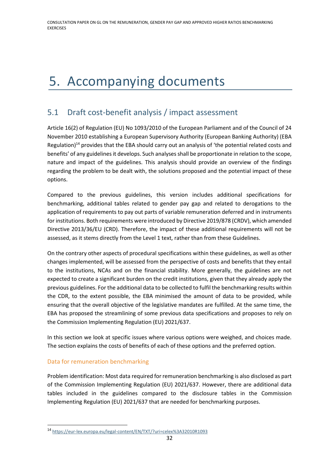# 5. Accompanying documents

## 5.1 Draft cost-benefit analysis / impact assessment

Article 16(2) of Regulation (EU) No 1093/2010 of the European Parliament and of the Council of 24 November 2010 establishing a European Supervisory Authority (European Banking Authority) (EBA Regulation)<sup>14</sup> provides that the EBA should carry out an analysis of 'the potential related costs and benefits' of any guidelines it develops. Such analyses shall be proportionate in relation to the scope, nature and impact of the guidelines. This analysis should provide an overview of the findings regarding the problem to be dealt with, the solutions proposed and the potential impact of these options.

Compared to the previous guidelines, this version includes additional specifications for benchmarking, additional tables related to gender pay gap and related to derogations to the application of requirements to pay out parts of variable remuneration deferred and in instruments for institutions. Both requirements were introduced by Directive 2019/878 (CRDV), which amended Directive 2013/36/EU (CRD). Therefore, the impact of these additional requirements will not be assessed, as it stems directly from the Level 1 text, rather than from these Guidelines.

On the contrary other aspects of procedural specifications within these guidelines, as well as other changes implemented, will be assessed from the perspective of costs and benefits that they entail to the institutions, NCAs and on the financial stability. More generally, the guidelines are not expected to create a significant burden on the credit institutions, given that they already apply the previous guidelines. For the additional data to be collected to fulfil the benchmarking results within the CDR, to the extent possible, the EBA minimised the amount of data to be provided, while ensuring that the overall objective of the legislative mandates are fulfilled. At the same time, the EBA has proposed the streamlining of some previous data specifications and proposes to rely on the Commission Implementing Regulation (EU) 2021/637.

In this section we look at specific issues where various options were weighed, and choices made. The section explains the costs of benefits of each of these options and the preferred option.

#### Data for remuneration benchmarking

Problem identification: Most data required for remuneration benchmarking is also disclosed as part of the Commission Implementing Regulation (EU) 2021/637. However, there are additional data tables included in the guidelines compared to the disclosure tables in the Commission Implementing Regulation (EU) 2021/637 that are needed for benchmarking purposes.

<sup>14</sup> <https://eur-lex.europa.eu/legal-content/EN/TXT/?uri=celex%3A32010R1093>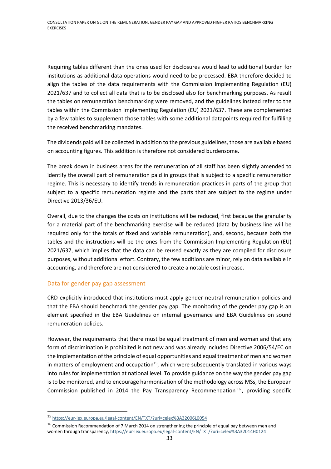Requiring tables different than the ones used for disclosures would lead to additional burden for institutions as additional data operations would need to be processed. EBA therefore decided to align the tables of the data requirements with the Commission Implementing Regulation (EU) 2021/637 and to collect all data that is to be disclosed also for benchmarking purposes. As result the tables on remuneration benchmarking were removed, and the guidelines instead refer to the tables within the Commission Implementing Regulation (EU) 2021/637. These are complemented by a few tables to supplement those tables with some additional datapoints required for fulfilling the received benchmarking mandates.

The dividends paid will be collected in addition to the previous guidelines, those are available based on accounting figures. This addition is therefore not considered burdensome.

The break down in business areas for the remuneration of all staff has been slightly amended to identify the overall part of remuneration paid in groups that is subject to a specific remuneration regime. This is necessary to identify trends in remuneration practices in parts of the group that subject to a specific remuneration regime and the parts that are subject to the regime under Directive 2013/36/EU.

Overall, due to the changes the costs on institutions will be reduced, first because the granularity for a material part of the benchmarking exercise will be reduced (data by business line will be required only for the totals of fixed and variable remuneration), and, second, because both the tables and the instructions will be the ones from the Commission Implementing Regulation (EU) 2021/637, which implies that the data can be reused exactly as they are compiled for disclosure purposes, without additional effort. Contrary, the few additions are minor, rely on data available in accounting, and therefore are not considered to create a notable cost increase.

#### Data for gender pay gap assessment

CRD explicitly introduced that institutions must apply gender neutral remuneration policies and that the EBA should benchmark the gender pay gap. The monitoring of the gender pay gap is an element specified in the EBA Guidelines on internal governance and EBA Guidelines on sound remuneration policies.

However, the requirements that there must be equal treatment of men and woman and that any form of discrimination is prohibited is not new and was already included Directive 2006/54/EC on the implementation of the principle of equal opportunities and equal treatment of men and women in matters of employment and occupation $15$ , which were subsequently translated in various ways into rules for implementation at national level. To provide guidance on the way the gender pay gap is to be monitored, and to encourage harmonisation of the methodology across MSs, the European Commission published in 2014 the Pay Transparency Recommendation  $^{16}$ , providing specific

<sup>15</sup> <https://eur-lex.europa.eu/legal-content/EN/TXT/?uri=celex%3A32006L0054>

<sup>&</sup>lt;sup>16</sup> Commission Recommendation of 7 March 2014 on strengthening the principle of equal pay between men and women through transparency[, https://eur-lex.europa.eu/legal-content/EN/TXT/?uri=celex%3A32014H0124](https://eur-lex.europa.eu/legal-content/EN/TXT/?uri=celex%3A32014H0124)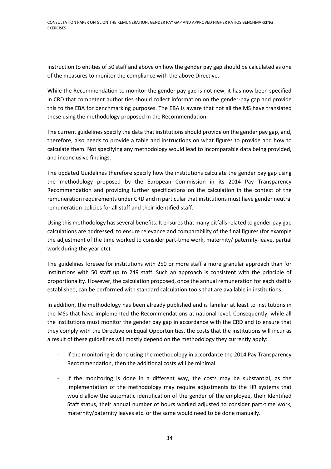instruction to entities of 50 staff and above on how the gender pay gap should be calculated as one of the measures to monitor the compliance with the above Directive.

While the Recommendation to monitor the gender pay gap is not new, it has now been specified in CRD that competent authorities should collect information on the gender-pay gap and provide this to the EBA for benchmarking purposes. The EBA is aware that not all the MS have translated these using the methodology proposed in the Recommendation.

The current guidelines specify the data that institutions should provide on the gender pay gap, and, therefore, also needs to provide a table and instructions on what figures to provide and how to calculate them. Not specifying any methodology would lead to incomparable data being provided, and inconclusive findings.

The updated Guidelines therefore specify how the institutions calculate the gender pay gap using the methodology proposed by the European Commission in its 2014 Pay Transparency Recommendation and providing further specifications on the calculation in the context of the remuneration requirements under CRD and in particular that institutions must have gender neutral remuneration policies for all staff and their identified staff.

Using this methodology has several benefits. It ensures that many pitfalls related to gender pay gap calculations are addressed, to ensure relevance and comparability of the final figures (for example the adjustment of the time worked to consider part-time work, maternity/ paternity-leave, partial work during the year etc).

The guidelines foresee for institutions with 250 or more staff a more granular approach than for institutions with 50 staff up to 249 staff. Such an approach is consistent with the principle of proportionality. However, the calculation proposed, once the annual remuneration for each staff is established, can be performed with standard calculation tools that are available in institutions.

In addition, the methodology has been already published and is familiar at least to institutions in the MSs that have implemented the Recommendations at national level. Consequently, while all the institutions must monitor the gender pay gap in accordance with the CRD and to ensure that they comply with the Directive on Equal Opportunities, the costs that the institutions will incur as a result of these guidelines will mostly depend on the methodology they currently apply:

- If the monitoring is done using the methodology in accordance the 2014 Pay Transparency Recommendation, then the additional costs will be minimal.
- If the monitoring is done in a different way, the costs may be substantial, as the implementation of the methodology may require adjustments to the HR systems that would allow the automatic identification of the gender of the employee, their Identified Staff status, their annual number of hours worked adjusted to consider part-time work, maternity/paternity leaves etc. or the same would need to be done manually.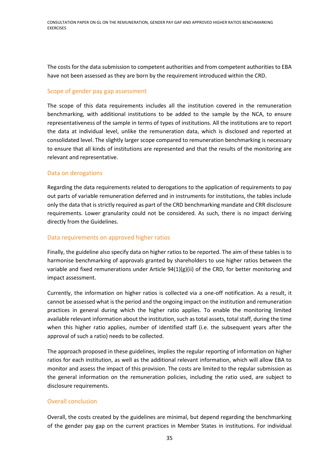The costs for the data submission to competent authorities and from competent authorities to EBA have not been assessed as they are born by the requirement introduced within the CRD.

#### Scope of gender pay gap assessment

The scope of this data requirements includes all the institution covered in the remuneration benchmarking, with additional institutions to be added to the sample by the NCA, to ensure representativeness of the sample in terms of types of institutions. All the institutions are to report the data at individual level, unlike the remuneration data, which is disclosed and reported at consolidated level. The slightly larger scope compared to remuneration benchmarking is necessary to ensure that all kinds of institutions are represented and that the results of the monitoring are relevant and representative.

#### Data on derogations

Regarding the data requirements related to derogations to the application of requirements to pay out parts of variable remuneration deferred and in instruments for institutions, the tables include only the data that is strictly required as part of the CRD benchmarking mandate and CRR disclosure requirements. Lower granularity could not be considered. As such, there is no impact deriving directly from the Guidelines.

#### Data requirements on approved higher ratios

Finally, the guideline also specify data on higher ratios to be reported. The aim of these tables is to harmonise benchmarking of approvals granted by shareholders to use higher ratios between the variable and fixed remunerations under Article  $94(1)(g)(ii)$  of the CRD, for better monitoring and impact assessment.

Currently, the information on higher ratios is collected via a one-off notification. As a result, it cannot be assessed what is the period and the ongoing impact on the institution and remuneration practices in general during which the higher ratio applies. To enable the monitoring limited available relevant information about the institution, such as total assets, total staff, during the time when this higher ratio applies, number of identified staff (i.e. the subsequent years after the approval of such a ratio) needs to be collected.

The approach proposed in these guidelines, implies the regular reporting of information on higher ratios for each institution, as well as the additional relevant information, which will allow EBA to monitor and assess the impact of this provision. The costs are limited to the regular submission as the general information on the remuneration policies, including the ratio used, are subject to disclosure requirements.

#### Overall conclusion

Overall, the costs created by the guidelines are minimal, but depend regarding the benchmarking of the gender pay gap on the current practices in Member States in institutions. For individual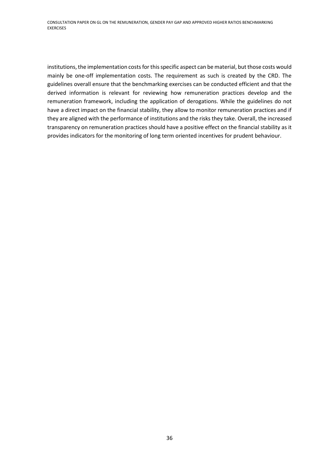institutions, the implementation costs for this specific aspect can be material, but those costs would mainly be one-off implementation costs. The requirement as such is created by the CRD. The guidelines overall ensure that the benchmarking exercises can be conducted efficient and that the derived information is relevant for reviewing how remuneration practices develop and the remuneration framework, including the application of derogations. While the guidelines do not have a direct impact on the financial stability, they allow to monitor remuneration practices and if they are aligned with the performance of institutions and the risks they take. Overall, the increased transparency on remuneration practices should have a positive effect on the financial stability as it provides indicators for the monitoring of long term oriented incentives for prudent behaviour.